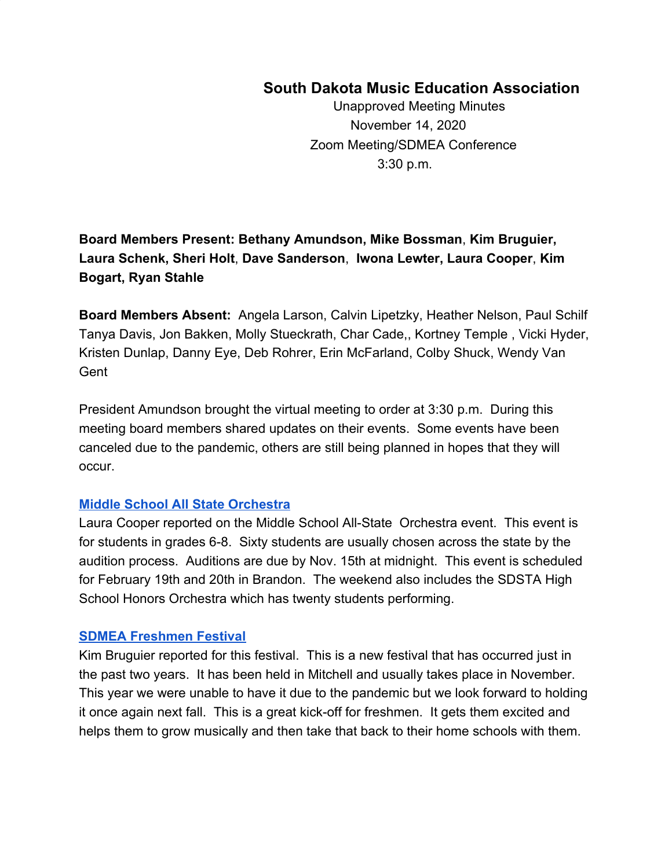# **South Dakota Music Education Association**

Unapproved Meeting Minutes November 14, 2020 Zoom Meeting/SDMEA Conference 3:30 p.m.

# **Board Members Present: Bethany Amundson, Mike Bossman**, **Kim Bruguier, Laura Schenk, Sheri Holt**, **Dave Sanderson**, **Iwona Lewter, Laura Cooper**, **Kim Bogart, Ryan Stahle**

**Board Members Absent:** Angela Larson, Calvin Lipetzky, Heather Nelson, Paul Schilf Tanya Davis, Jon Bakken, Molly Stueckrath, Char Cade,, Kortney Temple , Vicki Hyder, Kristen Dunlap, Danny Eye, Deb Rohrer, Erin McFarland, Colby Shuck, Wendy Van **Gent** 

President Amundson brought the virtual meeting to order at 3:30 p.m. During this meeting board members shared updates on their events. Some events have been canceled due to the pandemic, others are still being planned in hopes that they will occur.

### **[Middle School All State Orchestra](https://www.sdmea.net/events/middle-school-all-state-orchestra/)**

Laura Cooper reported on the Middle School All-State Orchestra event. This event is for students in grades 6-8. Sixty students are usually chosen across the state by the audition process. Auditions are due by Nov. 15th at midnight. This event is scheduled for February 19th and 20th in Brandon. The weekend also includes the SDSTA High School Honors Orchestra which has twenty students performing.

### **[SDMEA Freshmen Festival](https://www.sdmea.net/events/freshman-festival-choir/)**

Kim Bruguier reported for this festival. This is a new festival that has occurred just in the past two years. It has been held in Mitchell and usually takes place in November. This year we were unable to have it due to the pandemic but we look forward to holding it once again next fall. This is a great kick-off for freshmen. It gets them excited and helps them to grow musically and then take that back to their home schools with them.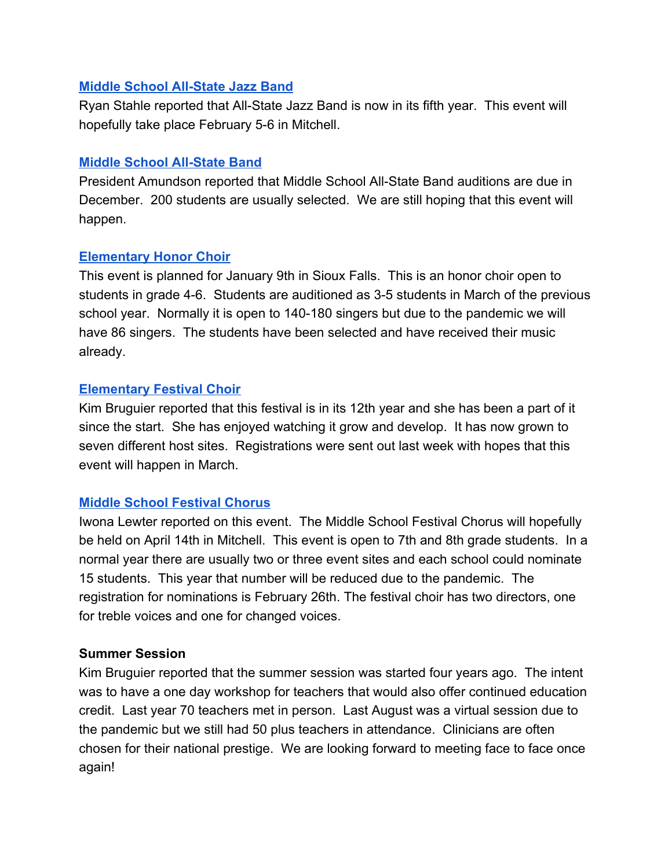### **[Middle School All-State Jazz Band](https://www.sdmea.net/events/middle-school-all-state-jazz/)**

Ryan Stahle reported that All-State Jazz Band is now in its fifth year. This event will hopefully take place February 5-6 in Mitchell.

## **[Middle School All-State Band](https://www.sdmea.net/events/middle-school-all-state-ban/)**

President Amundson reported that Middle School All-State Band auditions are due in December. 200 students are usually selected. We are still hoping that this event will happen.

# **[Elementary Honor Choir](https://www.sdmea.net/events/elementary-honor/)**

This event is planned for January 9th in Sioux Falls. This is an honor choir open to students in grade 4-6. Students are auditioned as 3-5 students in March of the previous school year. Normally it is open to 140-180 singers but due to the pandemic we will have 86 singers. The students have been selected and have received their music already.

## **[Elementary Festival Choir](https://www.sdmea.net/events/festival-chorus/)**

Kim Bruguier reported that this festival is in its 12th year and she has been a part of it since the start. She has enjoyed watching it grow and develop. It has now grown to seven different host sites. Registrations were sent out last week with hopes that this event will happen in March.

# **[Middle School Festival Chorus](https://www.sdmea.net/events/middle-school-vocal-festival/)**

Iwona Lewter reported on this event. The Middle School Festival Chorus will hopefully be held on April 14th in Mitchell. This event is open to 7th and 8th grade students. In a normal year there are usually two or three event sites and each school could nominate 15 students. This year that number will be reduced due to the pandemic. The registration for nominations is February 26th. The festival choir has two directors, one for treble voices and one for changed voices.

### **Summer Session**

Kim Bruguier reported that the summer session was started four years ago. The intent was to have a one day workshop for teachers that would also offer continued education credit. Last year 70 teachers met in person. Last August was a virtual session due to the pandemic but we still had 50 plus teachers in attendance. Clinicians are often chosen for their national prestige. We are looking forward to meeting face to face once again!